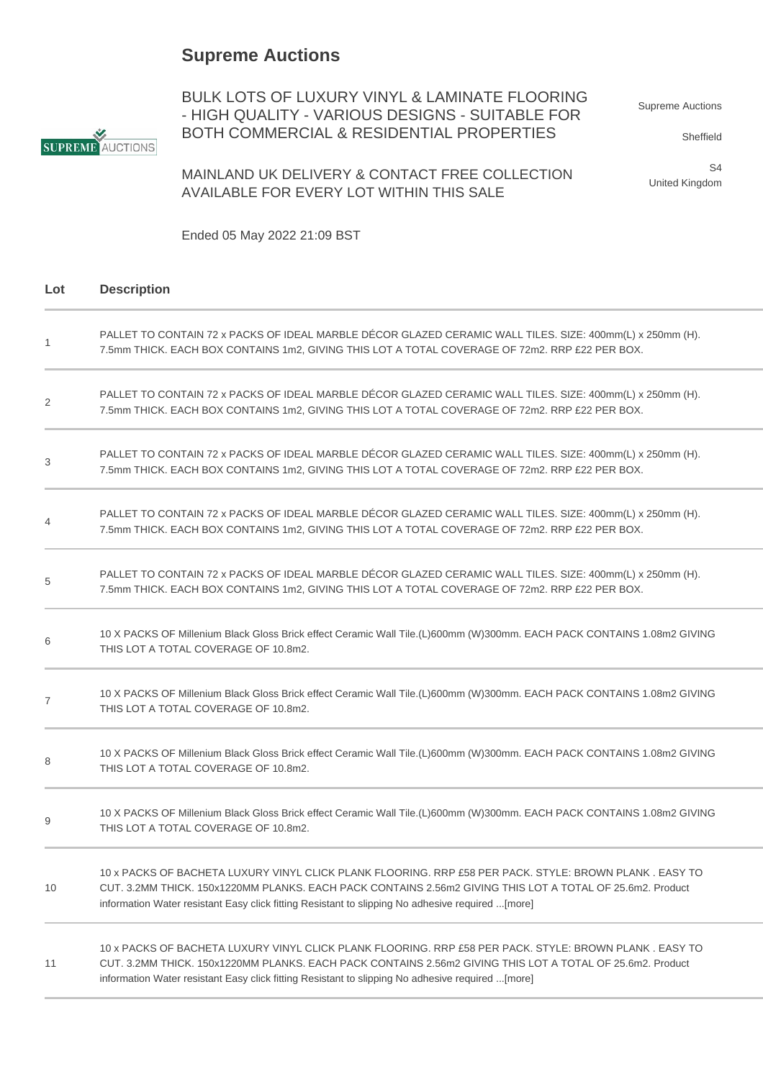## **Supreme Auctions**



BULK LOTS OF LUXURY VINYL & LAMINATE FLOORING - HIGH QUALITY - VARIOUS DESIGNS - SUITABLE FOR BOTH COMMERCIAL & RESIDENTIAL PROPERTIES

Supreme Auctions

Sheffield

MAINLAND UK DELIVERY & CONTACT FREE COLLECTION AVAILABLE FOR EVERY LOT WITHIN THIS SALE

S4 United Kingdom

Ended 05 May 2022 21:09 BST

| Lot | <b>Description</b>                                                                                                                                                                                                                                                                                                        |
|-----|---------------------------------------------------------------------------------------------------------------------------------------------------------------------------------------------------------------------------------------------------------------------------------------------------------------------------|
| 1   | PALLET TO CONTAIN 72 x PACKS OF IDEAL MARBLE DÉCOR GLAZED CERAMIC WALL TILES. SIZE: 400mm(L) x 250mm (H).<br>7.5mm THICK. EACH BOX CONTAINS 1m2, GIVING THIS LOT A TOTAL COVERAGE OF 72m2. RRP £22 PER BOX.                                                                                                               |
| 2   | PALLET TO CONTAIN 72 x PACKS OF IDEAL MARBLE DÉCOR GLAZED CERAMIC WALL TILES. SIZE: 400mm(L) x 250mm (H).<br>7.5mm THICK. EACH BOX CONTAINS 1m2, GIVING THIS LOT A TOTAL COVERAGE OF 72m2. RRP £22 PER BOX.                                                                                                               |
| 3   | PALLET TO CONTAIN 72 x PACKS OF IDEAL MARBLE DÉCOR GLAZED CERAMIC WALL TILES. SIZE: 400mm(L) x 250mm (H).<br>7.5mm THICK. EACH BOX CONTAINS 1m2, GIVING THIS LOT A TOTAL COVERAGE OF 72m2. RRP £22 PER BOX.                                                                                                               |
| 4   | PALLET TO CONTAIN 72 x PACKS OF IDEAL MARBLE DÉCOR GLAZED CERAMIC WALL TILES. SIZE: 400mm(L) x 250mm (H).<br>7.5mm THICK. EACH BOX CONTAINS 1m2, GIVING THIS LOT A TOTAL COVERAGE OF 72m2. RRP £22 PER BOX.                                                                                                               |
| 5   | PALLET TO CONTAIN 72 x PACKS OF IDEAL MARBLE DÉCOR GLAZED CERAMIC WALL TILES. SIZE: 400mm(L) x 250mm (H).<br>7.5mm THICK. EACH BOX CONTAINS 1m2, GIVING THIS LOT A TOTAL COVERAGE OF 72m2. RRP £22 PER BOX.                                                                                                               |
| 6   | 10 X PACKS OF Millenium Black Gloss Brick effect Ceramic Wall Tile.(L)600mm (W)300mm. EACH PACK CONTAINS 1.08m2 GIVING<br>THIS LOT A TOTAL COVERAGE OF 10.8m2.                                                                                                                                                            |
| 7   | 10 X PACKS OF Millenium Black Gloss Brick effect Ceramic Wall Tile.(L)600mm (W)300mm. EACH PACK CONTAINS 1.08m2 GIVING<br>THIS LOT A TOTAL COVERAGE OF 10.8m2.                                                                                                                                                            |
| 8   | 10 X PACKS OF Millenium Black Gloss Brick effect Ceramic Wall Tile.(L)600mm (W)300mm. EACH PACK CONTAINS 1.08m2 GIVING<br>THIS LOT A TOTAL COVERAGE OF 10.8m2.                                                                                                                                                            |
| 9   | 10 X PACKS OF Millenium Black Gloss Brick effect Ceramic Wall Tile.(L)600mm (W)300mm. EACH PACK CONTAINS 1.08m2 GIVING<br>THIS LOT A TOTAL COVERAGE OF 10.8m2.                                                                                                                                                            |
| 10  | 10 x PACKS OF BACHETA LUXURY VINYL CLICK PLANK FLOORING. RRP £58 PER PACK. STYLE: BROWN PLANK . EASY TO<br>CUT. 3.2MM THICK. 150x1220MM PLANKS. EACH PACK CONTAINS 2.56m2 GIVING THIS LOT A TOTAL OF 25.6m2. Product<br>information Water resistant Easy click fitting Resistant to slipping No adhesive required  [more] |
| 11  | 10 x PACKS OF BACHETA LUXURY VINYL CLICK PLANK FLOORING. RRP £58 PER PACK. STYLE: BROWN PLANK . EASY TO<br>CUT. 3.2MM THICK. 150x1220MM PLANKS. EACH PACK CONTAINS 2.56m2 GIVING THIS LOT A TOTAL OF 25.6m2. Product<br>information Water resistant Easy click fitting Resistant to slipping No adhesive required [more]  |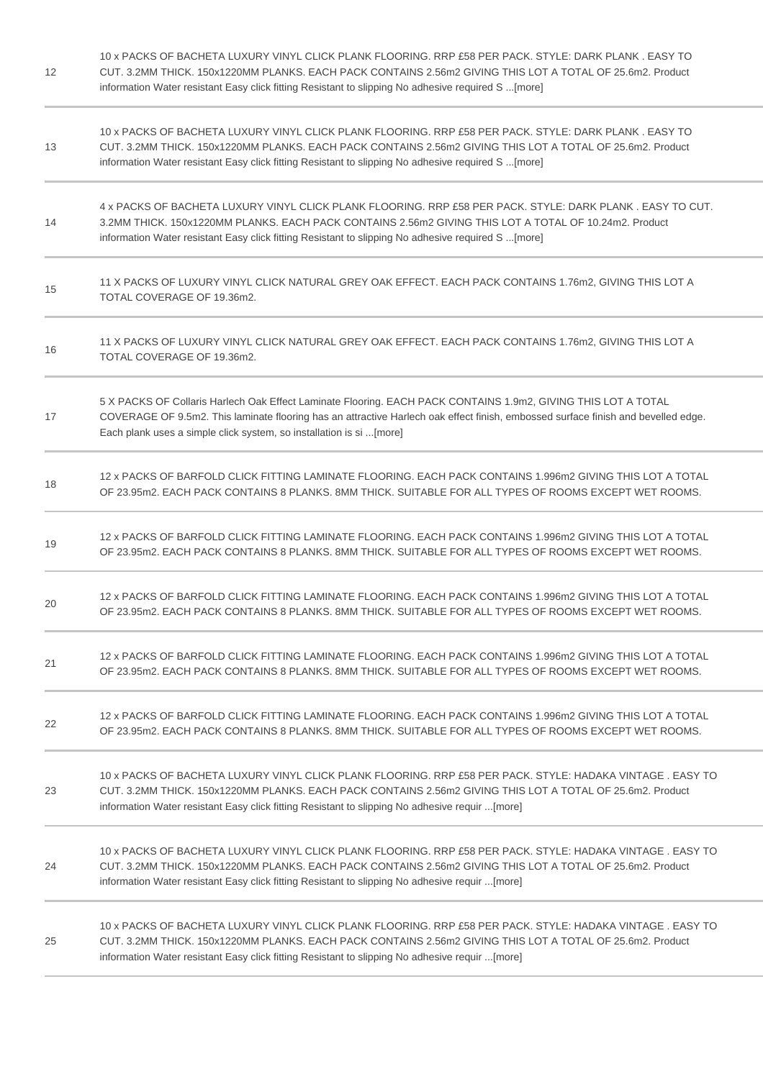| 12 | 10 x PACKS OF BACHETA LUXURY VINYL CLICK PLANK FLOORING. RRP £58 PER PACK. STYLE: DARK PLANK . EASY TO<br>CUT. 3.2MM THICK. 150x1220MM PLANKS. EACH PACK CONTAINS 2.56m2 GIVING THIS LOT A TOTAL OF 25.6m2. Product<br>information Water resistant Easy click fitting Resistant to slipping No adhesive required S[more]   |
|----|----------------------------------------------------------------------------------------------------------------------------------------------------------------------------------------------------------------------------------------------------------------------------------------------------------------------------|
| 13 | 10 x PACKS OF BACHETA LUXURY VINYL CLICK PLANK FLOORING. RRP £58 PER PACK. STYLE: DARK PLANK . EASY TO<br>CUT. 3.2MM THICK. 150x1220MM PLANKS. EACH PACK CONTAINS 2.56m2 GIVING THIS LOT A TOTAL OF 25.6m2. Product<br>information Water resistant Easy click fitting Resistant to slipping No adhesive required S [more]  |
| 14 | 4 x PACKS OF BACHETA LUXURY VINYL CLICK PLANK FLOORING. RRP £58 PER PACK. STYLE: DARK PLANK . EASY TO CUT.<br>3.2MM THICK. 150x1220MM PLANKS. EACH PACK CONTAINS 2.56m2 GIVING THIS LOT A TOTAL OF 10.24m2. Product<br>information Water resistant Easy click fitting Resistant to slipping No adhesive required S [more]  |
| 15 | 11 X PACKS OF LUXURY VINYL CLICK NATURAL GREY OAK EFFECT. EACH PACK CONTAINS 1.76m2, GIVING THIS LOT A<br>TOTAL COVERAGE OF 19.36m2.                                                                                                                                                                                       |
| 16 | 11 X PACKS OF LUXURY VINYL CLICK NATURAL GREY OAK EFFECT. EACH PACK CONTAINS 1.76m2, GIVING THIS LOT A<br>TOTAL COVERAGE OF 19.36m2.                                                                                                                                                                                       |
| 17 | 5 X PACKS OF Collaris Harlech Oak Effect Laminate Flooring. EACH PACK CONTAINS 1.9m2, GIVING THIS LOT A TOTAL<br>COVERAGE OF 9.5m2. This laminate flooring has an attractive Harlech oak effect finish, embossed surface finish and bevelled edge.<br>Each plank uses a simple click system, so installation is si[more]   |
| 18 | 12 x PACKS OF BARFOLD CLICK FITTING LAMINATE FLOORING. EACH PACK CONTAINS 1.996m2 GIVING THIS LOT A TOTAL<br>OF 23.95m2. EACH PACK CONTAINS 8 PLANKS. 8MM THICK. SUITABLE FOR ALL TYPES OF ROOMS EXCEPT WET ROOMS.                                                                                                         |
| 19 | 12 x PACKS OF BARFOLD CLICK FITTING LAMINATE FLOORING. EACH PACK CONTAINS 1.996m2 GIVING THIS LOT A TOTAL<br>OF 23.95m2. EACH PACK CONTAINS 8 PLANKS. 8MM THICK. SUITABLE FOR ALL TYPES OF ROOMS EXCEPT WET ROOMS.                                                                                                         |
| 20 | 12 x PACKS OF BARFOLD CLICK FITTING LAMINATE FLOORING. EACH PACK CONTAINS 1.996m2 GIVING THIS LOT A TOTAL<br>OF 23.95m2. EACH PACK CONTAINS 8 PLANKS. 8MM THICK. SUITABLE FOR ALL TYPES OF ROOMS EXCEPT WET ROOMS.                                                                                                         |
| 21 | 12 x PACKS OF BARFOLD CLICK FITTING LAMINATE FLOORING. EACH PACK CONTAINS 1.996m2 GIVING THIS LOT A TOTAL<br>OF 23.95m2. EACH PACK CONTAINS 8 PLANKS. 8MM THICK. SUITABLE FOR ALL TYPES OF ROOMS EXCEPT WET ROOMS.                                                                                                         |
| 22 | 12 x PACKS OF BARFOLD CLICK FITTING LAMINATE FLOORING. EACH PACK CONTAINS 1.996m2 GIVING THIS LOT A TOTAL<br>OF 23.95m2. EACH PACK CONTAINS 8 PLANKS. 8MM THICK. SUITABLE FOR ALL TYPES OF ROOMS EXCEPT WET ROOMS.                                                                                                         |
| 23 | 10 x PACKS OF BACHETA LUXURY VINYL CLICK PLANK FLOORING. RRP £58 PER PACK. STYLE: HADAKA VINTAGE . EASY TO<br>CUT. 3.2MM THICK. 150x1220MM PLANKS. EACH PACK CONTAINS 2.56m2 GIVING THIS LOT A TOTAL OF 25.6m2. Product<br>information Water resistant Easy click fitting Resistant to slipping No adhesive requir [more]  |
| 24 | 10 x PACKS OF BACHETA LUXURY VINYL CLICK PLANK FLOORING. RRP £58 PER PACK. STYLE: HADAKA VINTAGE . EASY TO<br>CUT. 3.2MM THICK. 150x1220MM PLANKS. EACH PACK CONTAINS 2.56m2 GIVING THIS LOT A TOTAL OF 25.6m2. Product<br>information Water resistant Easy click fitting Resistant to slipping No adhesive requir [more]  |
| 25 | 10 x PACKS OF BACHETA LUXURY VINYL CLICK PLANK FLOORING. RRP £58 PER PACK. STYLE: HADAKA VINTAGE . EASY TO<br>CUT. 3.2MM THICK. 150x1220MM PLANKS. EACH PACK CONTAINS 2.56m2 GIVING THIS LOT A TOTAL OF 25.6m2. Product<br>information Water resistant Easy click fitting Resistant to slipping No adhesive requir  [more] |

 $\sim$ 

 $\sim$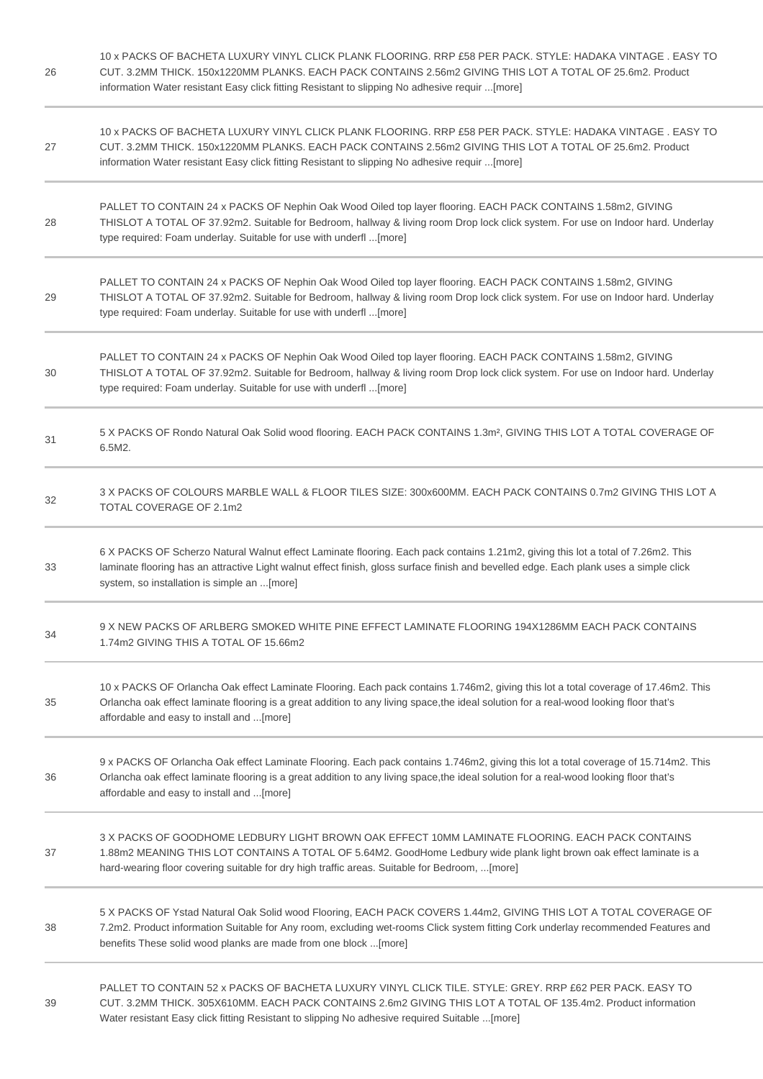| 26 | 10 x PACKS OF BACHETA LUXURY VINYL CLICK PLANK FLOORING. RRP £58 PER PACK. STYLE: HADAKA VINTAGE . EASY TO<br>CUT. 3.2MM THICK. 150x1220MM PLANKS. EACH PACK CONTAINS 2.56m2 GIVING THIS LOT A TOTAL OF 25.6m2. Product<br>information Water resistant Easy click fitting Resistant to slipping No adhesive requir  [more] |
|----|----------------------------------------------------------------------------------------------------------------------------------------------------------------------------------------------------------------------------------------------------------------------------------------------------------------------------|
| 27 | 10 x PACKS OF BACHETA LUXURY VINYL CLICK PLANK FLOORING. RRP £58 PER PACK. STYLE: HADAKA VINTAGE . EASY TO<br>CUT. 3.2MM THICK. 150x1220MM PLANKS. EACH PACK CONTAINS 2.56m2 GIVING THIS LOT A TOTAL OF 25.6m2. Product<br>information Water resistant Easy click fitting Resistant to slipping No adhesive requir [more]  |
| 28 | PALLET TO CONTAIN 24 x PACKS OF Nephin Oak Wood Oiled top layer flooring. EACH PACK CONTAINS 1.58m2, GIVING<br>THISLOT A TOTAL OF 37.92m2. Suitable for Bedroom, hallway & living room Drop lock click system. For use on Indoor hard. Underlay<br>type required: Foam underlay. Suitable for use with underfl  [more]     |
| 29 | PALLET TO CONTAIN 24 x PACKS OF Nephin Oak Wood Oiled top layer flooring. EACH PACK CONTAINS 1.58m2, GIVING<br>THISLOT A TOTAL OF 37.92m2. Suitable for Bedroom, hallway & living room Drop lock click system. For use on Indoor hard. Underlay<br>type required: Foam underlay. Suitable for use with underfl  [more]     |
| 30 | PALLET TO CONTAIN 24 x PACKS OF Nephin Oak Wood Oiled top layer flooring. EACH PACK CONTAINS 1.58m2, GIVING<br>THISLOT A TOTAL OF 37.92m2. Suitable for Bedroom, hallway & living room Drop lock click system. For use on Indoor hard. Underlay<br>type required: Foam underlay. Suitable for use with underfl  [more]     |
| 31 | 5 X PACKS OF Rondo Natural Oak Solid wood flooring. EACH PACK CONTAINS 1.3m <sup>2</sup> , GIVING THIS LOT A TOTAL COVERAGE OF<br>6.5M2.                                                                                                                                                                                   |
| 32 | 3 X PACKS OF COLOURS MARBLE WALL & FLOOR TILES SIZE: 300x600MM. EACH PACK CONTAINS 0.7m2 GIVING THIS LOT A<br>TOTAL COVERAGE OF 2.1m2                                                                                                                                                                                      |
| 33 | 6 X PACKS OF Scherzo Natural Walnut effect Laminate flooring. Each pack contains 1.21m2, giving this lot a total of 7.26m2. This<br>laminate flooring has an attractive Light walnut effect finish, gloss surface finish and bevelled edge. Each plank uses a simple click<br>system, so installation is simple an [more]  |
| 34 | 9 X NEW PACKS OF ARLBERG SMOKED WHITE PINE EFFECT LAMINATE FLOORING 194X1286MM EACH PACK CONTAINS<br>1.74m2 GIVING THIS A TOTAL OF 15.66m2                                                                                                                                                                                 |
| 35 | 10 x PACKS OF Orlancha Oak effect Laminate Flooring. Each pack contains 1.746m2, giving this lot a total coverage of 17.46m2. This<br>Orlancha oak effect laminate flooring is a great addition to any living space, the ideal solution for a real-wood looking floor that's<br>affordable and easy to install and [more]  |
| 36 | 9 x PACKS OF Orlancha Oak effect Laminate Flooring. Each pack contains 1.746m2, giving this lot a total coverage of 15.714m2. This<br>Orlancha oak effect laminate flooring is a great addition to any living space, the ideal solution for a real-wood looking floor that's<br>affordable and easy to install and [more]  |
| 37 | 3 X PACKS OF GOODHOME LEDBURY LIGHT BROWN OAK EFFECT 10MM LAMINATE FLOORING. EACH PACK CONTAINS<br>1.88m2 MEANING THIS LOT CONTAINS A TOTAL OF 5.64M2. GoodHome Ledbury wide plank light brown oak effect laminate is a<br>hard-wearing floor covering suitable for dry high traffic areas. Suitable for Bedroom, [more]   |
| 38 | 5 X PACKS OF Ystad Natural Oak Solid wood Flooring, EACH PACK COVERS 1.44m2, GIVING THIS LOT A TOTAL COVERAGE OF<br>7.2m2. Product information Suitable for Any room, excluding wet-rooms Click system fitting Cork underlay recommended Features and<br>benefits These solid wood planks are made from one block [more]   |
| 39 | PALLET TO CONTAIN 52 x PACKS OF BACHETA LUXURY VINYL CLICK TILE. STYLE: GREY. RRP £62 PER PACK. EASY TO<br>CUT. 3.2MM THICK. 305X610MM. EACH PACK CONTAINS 2.6m2 GIVING THIS LOT A TOTAL OF 135.4m2. Product information<br>Water resistant Easy click fitting Resistant to slipping No adhesive required Suitable  [more] |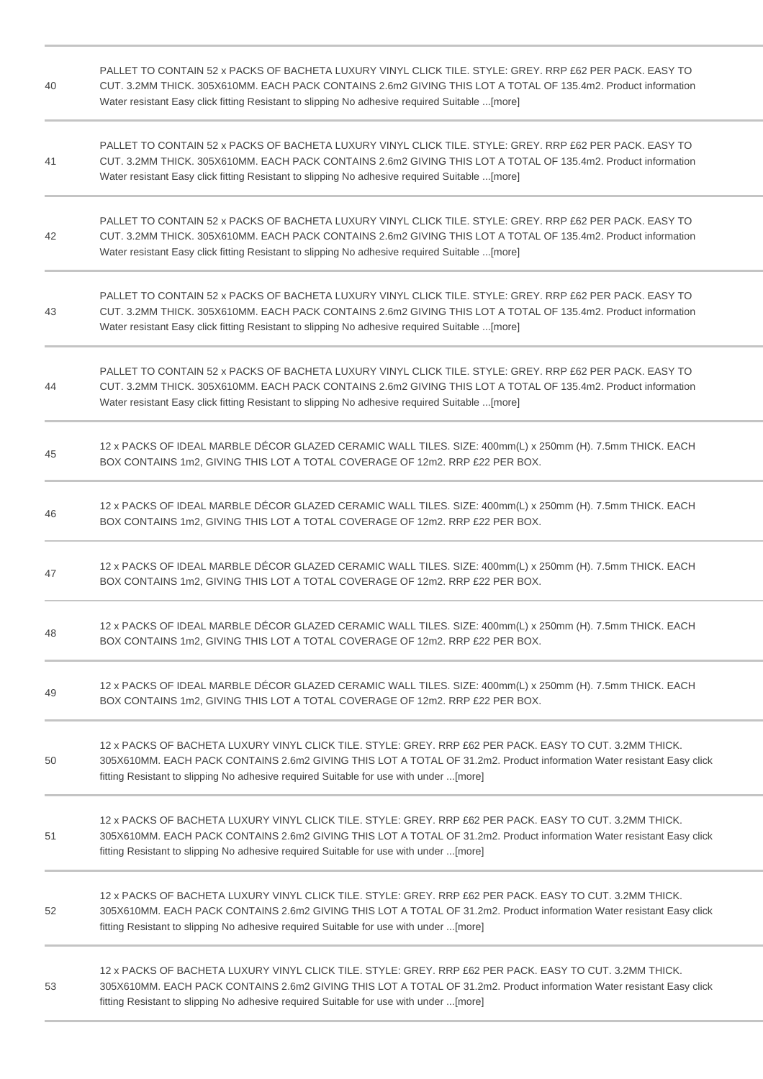| 40 | PALLET TO CONTAIN 52 x PACKS OF BACHETA LUXURY VINYL CLICK TILE, STYLE: GREY, RRP £62 PER PACK, EASY TO<br>CUT. 3.2MM THICK. 305X610MM. EACH PACK CONTAINS 2.6m2 GIVING THIS LOT A TOTAL OF 135.4m2. Product information<br>Water resistant Easy click fitting Resistant to slipping No adhesive required Suitable [more]  |
|----|----------------------------------------------------------------------------------------------------------------------------------------------------------------------------------------------------------------------------------------------------------------------------------------------------------------------------|
| 41 | PALLET TO CONTAIN 52 x PACKS OF BACHETA LUXURY VINYL CLICK TILE. STYLE: GREY. RRP £62 PER PACK. EASY TO<br>CUT. 3.2MM THICK. 305X610MM. EACH PACK CONTAINS 2.6m2 GIVING THIS LOT A TOTAL OF 135.4m2. Product information<br>Water resistant Easy click fitting Resistant to slipping No adhesive required Suitable  [more] |
| 42 | PALLET TO CONTAIN 52 x PACKS OF BACHETA LUXURY VINYL CLICK TILE. STYLE: GREY, RRP £62 PER PACK, EASY TO<br>CUT. 3.2MM THICK. 305X610MM. EACH PACK CONTAINS 2.6m2 GIVING THIS LOT A TOTAL OF 135.4m2. Product information<br>Water resistant Easy click fitting Resistant to slipping No adhesive required Suitable  [more] |
| 43 | PALLET TO CONTAIN 52 x PACKS OF BACHETA LUXURY VINYL CLICK TILE. STYLE: GREY. RRP £62 PER PACK. EASY TO<br>CUT. 3.2MM THICK. 305X610MM. EACH PACK CONTAINS 2.6m2 GIVING THIS LOT A TOTAL OF 135.4m2. Product information<br>Water resistant Easy click fitting Resistant to slipping No adhesive required Suitable  [more] |
| 44 | PALLET TO CONTAIN 52 x PACKS OF BACHETA LUXURY VINYL CLICK TILE. STYLE: GREY. RRP £62 PER PACK. EASY TO<br>CUT. 3.2MM THICK. 305X610MM. EACH PACK CONTAINS 2.6m2 GIVING THIS LOT A TOTAL OF 135.4m2. Product information<br>Water resistant Easy click fitting Resistant to slipping No adhesive required Suitable  [more] |
| 45 | 12 x PACKS OF IDEAL MARBLE DÉCOR GLAZED CERAMIC WALL TILES. SIZE: 400mm(L) x 250mm (H). 7.5mm THICK. EACH<br>BOX CONTAINS 1m2, GIVING THIS LOT A TOTAL COVERAGE OF 12m2. RRP £22 PER BOX.                                                                                                                                  |
| 46 | 12 x PACKS OF IDEAL MARBLE DÉCOR GLAZED CERAMIC WALL TILES. SIZE: 400mm(L) x 250mm (H). 7.5mm THICK. EACH<br>BOX CONTAINS 1m2, GIVING THIS LOT A TOTAL COVERAGE OF 12m2. RRP £22 PER BOX.                                                                                                                                  |
| 47 | 12 x PACKS OF IDEAL MARBLE DÉCOR GLAZED CERAMIC WALL TILES. SIZE: 400mm(L) x 250mm (H). 7.5mm THICK. EACH<br>BOX CONTAINS 1m2, GIVING THIS LOT A TOTAL COVERAGE OF 12m2. RRP £22 PER BOX.                                                                                                                                  |
| 48 | 12 x PACKS OF IDEAL MARBLE DÉCOR GLAZED CERAMIC WALL TILES. SIZE: 400mm(L) x 250mm (H). 7.5mm THICK. EACH<br>BOX CONTAINS 1m2, GIVING THIS LOT A TOTAL COVERAGE OF 12m2. RRP £22 PER BOX.                                                                                                                                  |
| 49 | 12 x PACKS OF IDEAL MARBLE DÉCOR GLAZED CERAMIC WALL TILES. SIZE: 400mm(L) x 250mm (H). 7.5mm THICK. EACH<br>BOX CONTAINS 1m2, GIVING THIS LOT A TOTAL COVERAGE OF 12m2. RRP £22 PER BOX.                                                                                                                                  |
| 50 | 12 x PACKS OF BACHETA LUXURY VINYL CLICK TILE, STYLE: GREY, RRP £62 PER PACK, EASY TO CUT, 3.2MM THICK,<br>305X610MM. EACH PACK CONTAINS 2.6m2 GIVING THIS LOT A TOTAL OF 31.2m2. Product information Water resistant Easy click<br>fitting Resistant to slipping No adhesive required Suitable for use with under  [more] |
| 51 | 12 x PACKS OF BACHETA LUXURY VINYL CLICK TILE. STYLE: GREY. RRP £62 PER PACK. EASY TO CUT. 3.2MM THICK.<br>305X610MM. EACH PACK CONTAINS 2.6m2 GIVING THIS LOT A TOTAL OF 31.2m2. Product information Water resistant Easy click<br>fitting Resistant to slipping No adhesive required Suitable for use with under  [more] |
| 52 | 12 x PACKS OF BACHETA LUXURY VINYL CLICK TILE. STYLE: GREY. RRP £62 PER PACK. EASY TO CUT. 3.2MM THICK.<br>305X610MM. EACH PACK CONTAINS 2.6m2 GIVING THIS LOT A TOTAL OF 31.2m2. Product information Water resistant Easy click<br>fitting Resistant to slipping No adhesive required Suitable for use with under [more]  |
| 53 | 12 x PACKS OF BACHETA LUXURY VINYL CLICK TILE. STYLE: GREY. RRP £62 PER PACK. EASY TO CUT. 3.2MM THICK.<br>305X610MM. EACH PACK CONTAINS 2.6m2 GIVING THIS LOT A TOTAL OF 31.2m2. Product information Water resistant Easy click<br>fitting Resistant to slipping No adhesive required Suitable for use with under [more]  |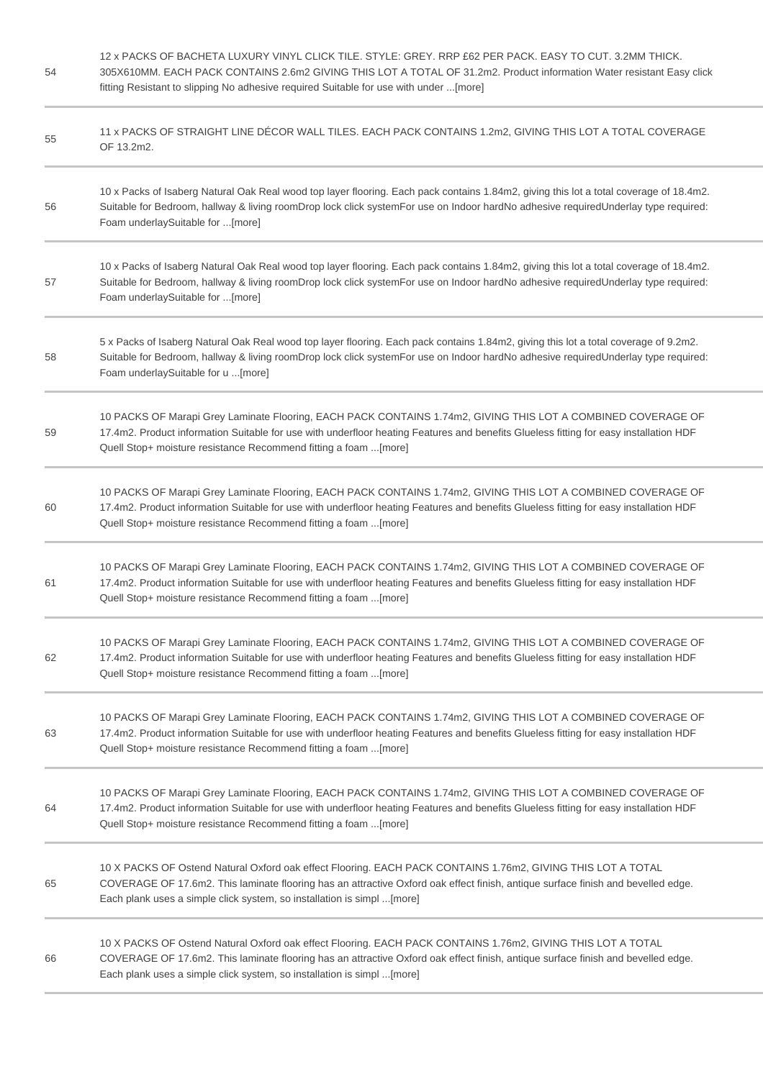54 12 x PACKS OF BACHETA LUXURY VINYL CLICK TILE. STYLE: GREY. RRP £62 PER PACK. EASY TO CUT. 3.2MM THICK. 305X610MM. EACH PACK CONTAINS 2.6m2 GIVING THIS LOT A TOTAL OF 31.2m2. Product information Water resistant Easy click fitting Resistant to slipping No adhesive required Suitable for use with under ...[more] 55 11 x PACKS OF STRAIGHT LINE DÉCOR WALL TILES. EACH PACK CONTAINS 1.2m2, GIVING THIS LOT A TOTAL COVERAGE OF 13.2m2. 56 10 x Packs of Isaberg Natural Oak Real wood top layer flooring. Each pack contains 1.84m2, giving this lot a total coverage of 18.4m2. Suitable for Bedroom, hallway & living roomDrop lock click systemFor use on Indoor hardNo adhesive requiredUnderlay type required: Foam underlaySuitable for ...[more] 57 10 x Packs of Isaberg Natural Oak Real wood top layer flooring. Each pack contains 1.84m2, giving this lot a total coverage of 18.4m2. Suitable for Bedroom, hallway & living roomDrop lock click systemFor use on Indoor hardNo adhesive requiredUnderlay type required: Foam underlaySuitable for ...[more] 5 x Packs of Isaberg Natural Oak Real wood top layer flooring. Each pack contains 1.84m2, giving this lot a total coverage of 9.2m2.

- 58 Suitable for Bedroom, hallway & living roomDrop lock click systemFor use on Indoor hardNo adhesive requiredUnderlay type required: Foam underlaySuitable for u ...[more]
- 59 10 PACKS OF Marapi Grey Laminate Flooring, EACH PACK CONTAINS 1.74m2, GIVING THIS LOT A COMBINED COVERAGE OF 17.4m2. Product information Suitable for use with underfloor heating Features and benefits Glueless fitting for easy installation HDF Quell Stop+ moisture resistance Recommend fitting a foam ...[more]
- 60 10 PACKS OF Marapi Grey Laminate Flooring, EACH PACK CONTAINS 1.74m2, GIVING THIS LOT A COMBINED COVERAGE OF 17.4m2. Product information Suitable for use with underfloor heating Features and benefits Glueless fitting for easy installation HDF Quell Stop+ moisture resistance Recommend fitting a foam ...[more]
- 61 10 PACKS OF Marapi Grey Laminate Flooring, EACH PACK CONTAINS 1.74m2, GIVING THIS LOT A COMBINED COVERAGE OF 17.4m2. Product information Suitable for use with underfloor heating Features and benefits Glueless fitting for easy installation HDF Quell Stop+ moisture resistance Recommend fitting a foam ...[more]
- 62 10 PACKS OF Marapi Grey Laminate Flooring, EACH PACK CONTAINS 1.74m2, GIVING THIS LOT A COMBINED COVERAGE OF 17.4m2. Product information Suitable for use with underfloor heating Features and benefits Glueless fitting for easy installation HDF Quell Stop+ moisture resistance Recommend fitting a foam ...[more]
- 63 10 PACKS OF Marapi Grey Laminate Flooring, EACH PACK CONTAINS 1.74m2, GIVING THIS LOT A COMBINED COVERAGE OF 17.4m2. Product information Suitable for use with underfloor heating Features and benefits Glueless fitting for easy installation HDF Quell Stop+ moisture resistance Recommend fitting a foam ...[more]
- 64 10 PACKS OF Marapi Grey Laminate Flooring, EACH PACK CONTAINS 1.74m2, GIVING THIS LOT A COMBINED COVERAGE OF 17.4m2. Product information Suitable for use with underfloor heating Features and benefits Glueless fitting for easy installation HDF Quell Stop+ moisture resistance Recommend fitting a foam ...[more]
- 65 10 X PACKS OF Ostend Natural Oxford oak effect Flooring. EACH PACK CONTAINS 1.76m2, GIVING THIS LOT A TOTAL COVERAGE OF 17.6m2. This laminate flooring has an attractive Oxford oak effect finish, antique surface finish and bevelled edge. Each plank uses a simple click system, so installation is simpl ...[more]
- 66 10 X PACKS OF Ostend Natural Oxford oak effect Flooring. EACH PACK CONTAINS 1.76m2, GIVING THIS LOT A TOTAL COVERAGE OF 17.6m2. This laminate flooring has an attractive Oxford oak effect finish, antique surface finish and bevelled edge. Each plank uses a simple click system, so installation is simpl ...[more]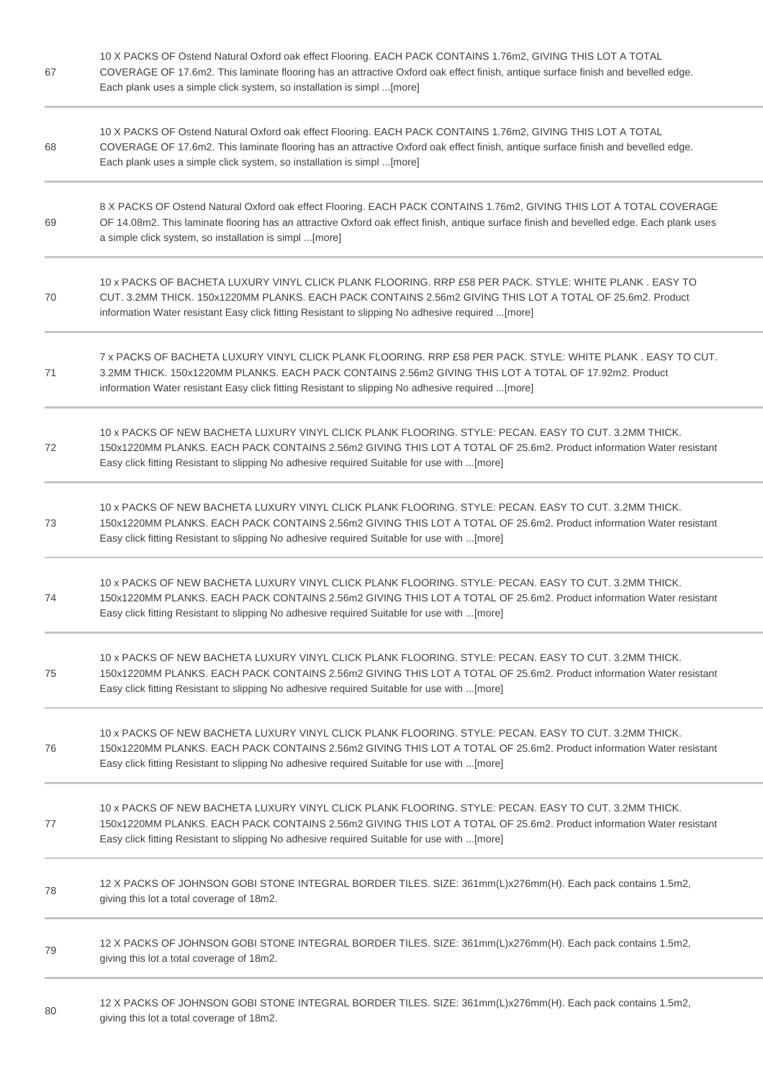| 67 | 10 X PACKS OF Ostend Natural Oxford oak effect Flooring. EACH PACK CONTAINS 1.76m2, GIVING THIS LOT A TOTAL<br>COVERAGE OF 17.6m2. This laminate flooring has an attractive Oxford oak effect finish, antique surface finish and bevelled edge.<br>Each plank uses a simple click system, so installation is simpl [more] |
|----|---------------------------------------------------------------------------------------------------------------------------------------------------------------------------------------------------------------------------------------------------------------------------------------------------------------------------|
| 68 | 10 X PACKS OF Ostend Natural Oxford oak effect Flooring. EACH PACK CONTAINS 1.76m2, GIVING THIS LOT A TOTAL<br>COVERAGE OF 17.6m2. This laminate flooring has an attractive Oxford oak effect finish, antique surface finish and bevelled edge.<br>Each plank uses a simple click system, so installation is simpl [more] |
| 69 | 8 X PACKS OF Ostend Natural Oxford oak effect Flooring. EACH PACK CONTAINS 1.76m2, GIVING THIS LOT A TOTAL COVERAGE<br>OF 14.08m2. This laminate flooring has an attractive Oxford oak effect finish, antique surface finish and bevelled edge. Each plank uses<br>a simple click system, so installation is simpl [more] |
| 70 | 10 x PACKS OF BACHETA LUXURY VINYL CLICK PLANK FLOORING. RRP £58 PER PACK. STYLE: WHITE PLANK. EASY TO<br>CUT. 3.2MM THICK. 150x1220MM PLANKS. EACH PACK CONTAINS 2.56m2 GIVING THIS LOT A TOTAL OF 25.6m2. Product<br>information Water resistant Easy click fitting Resistant to slipping No adhesive required  [more]  |
| 71 | 7 x PACKS OF BACHETA LUXURY VINYL CLICK PLANK FLOORING. RRP £58 PER PACK. STYLE: WHITE PLANK . EASY TO CUT.<br>3.2MM THICK. 150x1220MM PLANKS. EACH PACK CONTAINS 2.56m2 GIVING THIS LOT A TOTAL OF 17.92m2. Product<br>information Water resistant Easy click fitting Resistant to slipping No adhesive required [more]  |
| 72 | 10 x PACKS OF NEW BACHETA LUXURY VINYL CLICK PLANK FLOORING. STYLE: PECAN. EASY TO CUT. 3.2MM THICK.<br>150x1220MM PLANKS. EACH PACK CONTAINS 2.56m2 GIVING THIS LOT A TOTAL OF 25.6m2. Product information Water resistant<br>Easy click fitting Resistant to slipping No adhesive required Suitable for use with [more] |
| 73 | 10 x PACKS OF NEW BACHETA LUXURY VINYL CLICK PLANK FLOORING. STYLE: PECAN. EASY TO CUT. 3.2MM THICK.<br>150x1220MM PLANKS. EACH PACK CONTAINS 2.56m2 GIVING THIS LOT A TOTAL OF 25.6m2. Product information Water resistant<br>Easy click fitting Resistant to slipping No adhesive required Suitable for use with [more] |
| 74 | 10 x PACKS OF NEW BACHETA LUXURY VINYL CLICK PLANK FLOORING. STYLE: PECAN. EASY TO CUT. 3.2MM THICK.<br>150x1220MM PLANKS. EACH PACK CONTAINS 2.56m2 GIVING THIS LOT A TOTAL OF 25.6m2. Product information Water resistant<br>Easy click fitting Resistant to slipping No adhesive required Suitable for use with [more] |
| 75 | 10 x PACKS OF NEW BACHETA LUXURY VINYL CLICK PLANK FLOORING. STYLE: PECAN. EASY TO CUT. 3.2MM THICK.<br>150x1220MM PLANKS. EACH PACK CONTAINS 2.56m2 GIVING THIS LOT A TOTAL OF 25.6m2. Product information Water resistant<br>Easy click fitting Resistant to slipping No adhesive required Suitable for use with [more] |
| 76 | 10 x PACKS OF NEW BACHETA LUXURY VINYL CLICK PLANK FLOORING. STYLE: PECAN. EASY TO CUT. 3.2MM THICK.<br>150x1220MM PLANKS. EACH PACK CONTAINS 2.56m2 GIVING THIS LOT A TOTAL OF 25.6m2. Product information Water resistant<br>Easy click fitting Resistant to slipping No adhesive required Suitable for use with [more] |
| 77 | 10 x PACKS OF NEW BACHETA LUXURY VINYL CLICK PLANK FLOORING. STYLE: PECAN. EASY TO CUT. 3.2MM THICK.<br>150x1220MM PLANKS. EACH PACK CONTAINS 2.56m2 GIVING THIS LOT A TOTAL OF 25.6m2. Product information Water resistant<br>Easy click fitting Resistant to slipping No adhesive required Suitable for use with [more] |
| 78 | 12 X PACKS OF JOHNSON GOBI STONE INTEGRAL BORDER TILES. SIZE: 361mm(L)x276mm(H). Each pack contains 1.5m2,<br>giving this lot a total coverage of 18m2.                                                                                                                                                                   |
| 79 | 12 X PACKS OF JOHNSON GOBI STONE INTEGRAL BORDER TILES. SIZE: 361mm(L)x276mm(H). Each pack contains 1.5m2,<br>giving this lot a total coverage of 18m2.                                                                                                                                                                   |
| 80 | 12 X PACKS OF JOHNSON GOBI STONE INTEGRAL BORDER TILES. SIZE: 361mm(L)x276mm(H). Each pack contains 1.5m2,                                                                                                                                                                                                                |

12 X PACKS OF JOHNSON GOBI STONE INTEGRAL BORDER TILES. SIZE: 361mm(L)x276mm(H). Each pack contains 1.5m2, giving this lot a total coverage of 18m2.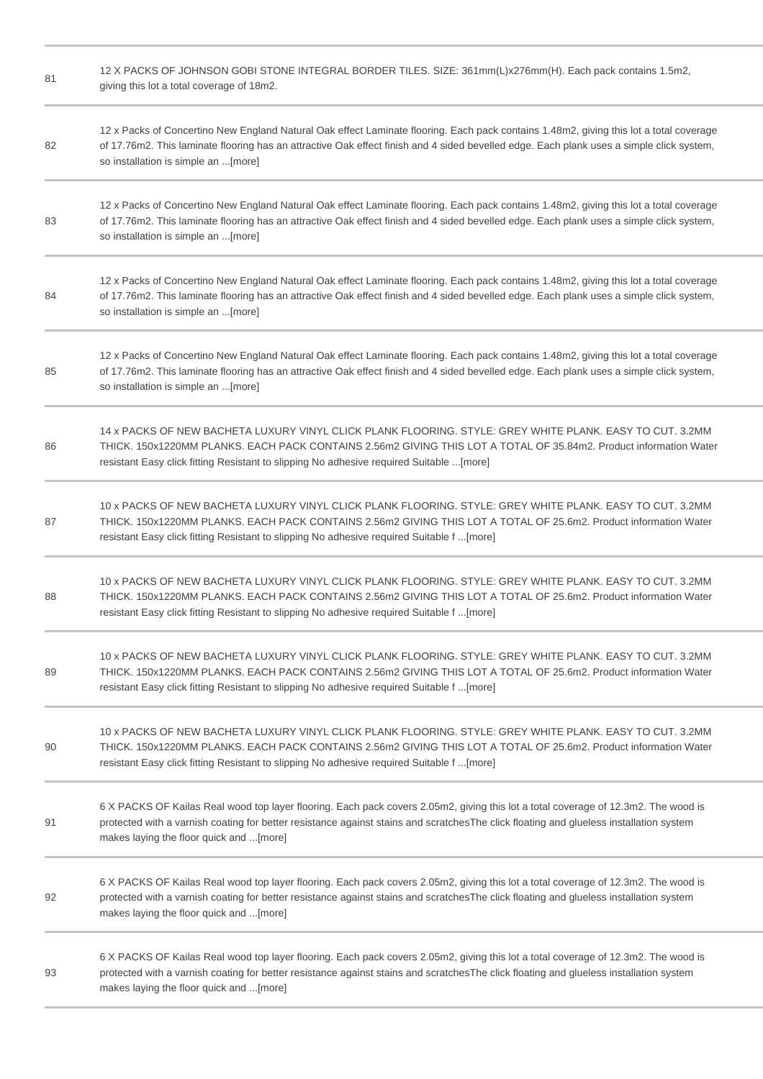| 81 | 12 X PACKS OF JOHNSON GOBI STONE INTEGRAL BORDER TILES. SIZE: 361mm(L)x276mm(H). Each pack contains 1.5m2,<br>giving this lot a total coverage of 18m2.                                                                                                                                                                    |
|----|----------------------------------------------------------------------------------------------------------------------------------------------------------------------------------------------------------------------------------------------------------------------------------------------------------------------------|
| 82 | 12 x Packs of Concertino New England Natural Oak effect Laminate flooring. Each pack contains 1.48m2, giving this lot a total coverage<br>of 17.76m2. This laminate flooring has an attractive Oak effect finish and 4 sided bevelled edge. Each plank uses a simple click system,<br>so installation is simple an [more]  |
| 83 | 12 x Packs of Concertino New England Natural Oak effect Laminate flooring. Each pack contains 1.48m2, giving this lot a total coverage<br>of 17.76m2. This laminate flooring has an attractive Oak effect finish and 4 sided bevelled edge. Each plank uses a simple click system,<br>so installation is simple an [more]  |
| 84 | 12 x Packs of Concertino New England Natural Oak effect Laminate flooring. Each pack contains 1.48m2, giving this lot a total coverage<br>of 17.76m2. This laminate flooring has an attractive Oak effect finish and 4 sided bevelled edge. Each plank uses a simple click system,<br>so installation is simple an [more]  |
| 85 | 12 x Packs of Concertino New England Natural Oak effect Laminate flooring. Each pack contains 1.48m2, giving this lot a total coverage<br>of 17.76m2. This laminate flooring has an attractive Oak effect finish and 4 sided bevelled edge. Each plank uses a simple click system,<br>so installation is simple an [more]  |
| 86 | 14 x PACKS OF NEW BACHETA LUXURY VINYL CLICK PLANK FLOORING. STYLE: GREY WHITE PLANK. EASY TO CUT. 3.2MM<br>THICK. 150x1220MM PLANKS. EACH PACK CONTAINS 2.56m2 GIVING THIS LOT A TOTAL OF 35.84m2. Product information Water<br>resistant Easy click fitting Resistant to slipping No adhesive required Suitable  [more]  |
| 87 | 10 x PACKS OF NEW BACHETA LUXURY VINYL CLICK PLANK FLOORING. STYLE: GREY WHITE PLANK. EASY TO CUT. 3.2MM<br>THICK. 150x1220MM PLANKS. EACH PACK CONTAINS 2.56m2 GIVING THIS LOT A TOTAL OF 25.6m2. Product information Water<br>resistant Easy click fitting Resistant to slipping No adhesive required Suitable f  [more] |
| 88 | 10 x PACKS OF NEW BACHETA LUXURY VINYL CLICK PLANK FLOORING. STYLE: GREY WHITE PLANK. EASY TO CUT. 3.2MM<br>THICK. 150x1220MM PLANKS. EACH PACK CONTAINS 2.56m2 GIVING THIS LOT A TOTAL OF 25.6m2. Product information Water<br>resistant Easy click fitting Resistant to slipping No adhesive required Suitable f  [more] |
| 89 | 10 x PACKS OF NEW BACHETA LUXURY VINYL CLICK PLANK FLOORING. STYLE: GREY WHITE PLANK. EASY TO CUT. 3.2MM<br>THICK. 150x1220MM PLANKS. EACH PACK CONTAINS 2.56m2 GIVING THIS LOT A TOTAL OF 25.6m2. Product information Water<br>resistant Easy click fitting Resistant to slipping No adhesive required Suitable f  [more] |
| 90 | 10 x PACKS OF NEW BACHETA LUXURY VINYL CLICK PLANK FLOORING. STYLE: GREY WHITE PLANK. EASY TO CUT. 3.2MM<br>THICK. 150x1220MM PLANKS. EACH PACK CONTAINS 2.56m2 GIVING THIS LOT A TOTAL OF 25.6m2. Product information Water<br>resistant Easy click fitting Resistant to slipping No adhesive required Suitable f  [more] |
| 91 | 6 X PACKS OF Kailas Real wood top layer flooring. Each pack covers 2.05m2, giving this lot a total coverage of 12.3m2. The wood is<br>protected with a varnish coating for better resistance against stains and scratchesThe click floating and glueless installation system<br>makes laying the floor quick and [more]    |
| 92 | 6 X PACKS OF Kailas Real wood top layer flooring. Each pack covers 2.05m2, giving this lot a total coverage of 12.3m2. The wood is<br>protected with a varnish coating for better resistance against stains and scratchesThe click floating and glueless installation system<br>makes laying the floor quick and [more]    |
| 93 | 6 X PACKS OF Kailas Real wood top layer flooring. Each pack covers 2.05m2, giving this lot a total coverage of 12.3m2. The wood is<br>protected with a varnish coating for better resistance against stains and scratchesThe click floating and glueless installation system<br>makes laying the floor quick and [more]    |

ł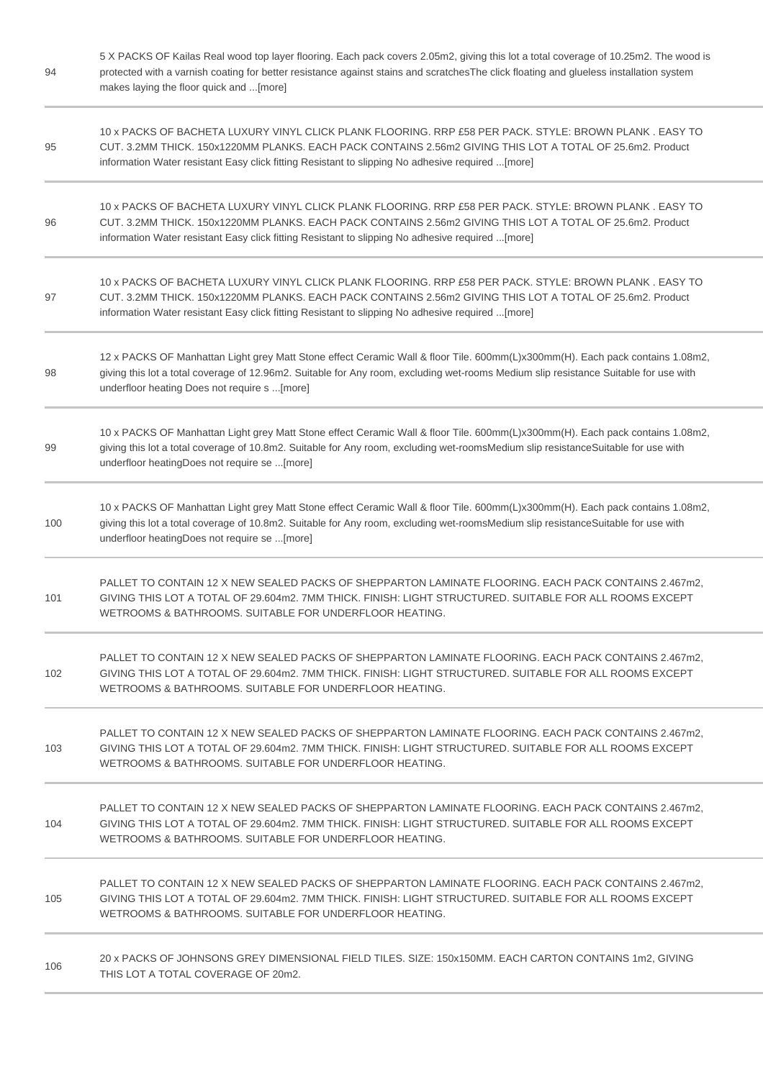| 94  | 5 X PACKS OF Kailas Real wood top layer flooring. Each pack covers 2.05m2, giving this lot a total coverage of 10.25m2. The wood is<br>protected with a varnish coating for better resistance against stains and scratchesThe click floating and glueless installation system<br>makes laying the floor quick and [more] |
|-----|--------------------------------------------------------------------------------------------------------------------------------------------------------------------------------------------------------------------------------------------------------------------------------------------------------------------------|
| 95  | 10 x PACKS OF BACHETA LUXURY VINYL CLICK PLANK FLOORING. RRP £58 PER PACK. STYLE: BROWN PLANK. EASY TO<br>CUT. 3.2MM THICK. 150x1220MM PLANKS. EACH PACK CONTAINS 2.56m2 GIVING THIS LOT A TOTAL OF 25.6m2. Product<br>information Water resistant Easy click fitting Resistant to slipping No adhesive required  [more] |
| 96  | 10 x PACKS OF BACHETA LUXURY VINYL CLICK PLANK FLOORING. RRP £58 PER PACK. STYLE: BROWN PLANK. EASY TO<br>CUT. 3.2MM THICK. 150x1220MM PLANKS. EACH PACK CONTAINS 2.56m2 GIVING THIS LOT A TOTAL OF 25.6m2. Product<br>information Water resistant Easy click fitting Resistant to slipping No adhesive required  [more] |
| 97  | 10 x PACKS OF BACHETA LUXURY VINYL CLICK PLANK FLOORING. RRP £58 PER PACK. STYLE: BROWN PLANK. EASY TO<br>CUT. 3.2MM THICK. 150x1220MM PLANKS. EACH PACK CONTAINS 2.56m2 GIVING THIS LOT A TOTAL OF 25.6m2. Product<br>information Water resistant Easy click fitting Resistant to slipping No adhesive required  [more] |
| 98  | 12 x PACKS OF Manhattan Light grey Matt Stone effect Ceramic Wall & floor Tile. 600mm(L)x300mm(H). Each pack contains 1.08m2,<br>giving this lot a total coverage of 12.96m2. Suitable for Any room, excluding wet-rooms Medium slip resistance Suitable for use with<br>underfloor heating Does not require s [more]    |
| 99  | 10 x PACKS OF Manhattan Light grey Matt Stone effect Ceramic Wall & floor Tile. 600mm(L)x300mm(H). Each pack contains 1.08m2,<br>giving this lot a total coverage of 10.8m2. Suitable for Any room, excluding wet-roomsMedium slip resistanceSuitable for use with<br>underfloor heatingDoes not require se [more]       |
| 100 | 10 x PACKS OF Manhattan Light grey Matt Stone effect Ceramic Wall & floor Tile. 600mm(L)x300mm(H). Each pack contains 1.08m2,<br>giving this lot a total coverage of 10.8m2. Suitable for Any room, excluding wet-roomsMedium slip resistanceSuitable for use with<br>underfloor heatingDoes not require se [more]       |
| 101 | PALLET TO CONTAIN 12 X NEW SEALED PACKS OF SHEPPARTON LAMINATE FLOORING. EACH PACK CONTAINS 2.467m2,<br>GIVING THIS LOT A TOTAL OF 29.604m2. 7MM THICK. FINISH: LIGHT STRUCTURED. SUITABLE FOR ALL ROOMS EXCEPT<br>WETROOMS & BATHROOMS. SUITABLE FOR UNDERFLOOR HEATING.                                                |
| 102 | PALLET TO CONTAIN 12 X NEW SEALED PACKS OF SHEPPARTON LAMINATE FLOORING. EACH PACK CONTAINS 2.467m2.<br>GIVING THIS LOT A TOTAL OF 29.604m2. 7MM THICK, FINISH: LIGHT STRUCTURED, SUITABLE FOR ALL ROOMS EXCEPT<br>WETROOMS & BATHROOMS. SUITABLE FOR UNDERFLOOR HEATING.                                                |
| 103 | PALLET TO CONTAIN 12 X NEW SEALED PACKS OF SHEPPARTON LAMINATE FLOORING. EACH PACK CONTAINS 2.467m2,<br>GIVING THIS LOT A TOTAL OF 29.604m2. 7MM THICK. FINISH: LIGHT STRUCTURED. SUITABLE FOR ALL ROOMS EXCEPT<br>WETROOMS & BATHROOMS. SUITABLE FOR UNDERFLOOR HEATING.                                                |
| 104 | PALLET TO CONTAIN 12 X NEW SEALED PACKS OF SHEPPARTON LAMINATE FLOORING. EACH PACK CONTAINS 2.467m2.<br>GIVING THIS LOT A TOTAL OF 29.604m2. 7MM THICK. FINISH: LIGHT STRUCTURED. SUITABLE FOR ALL ROOMS EXCEPT<br>WETROOMS & BATHROOMS, SUITABLE FOR UNDERFLOOR HEATING.                                                |
| 105 | PALLET TO CONTAIN 12 X NEW SEALED PACKS OF SHEPPARTON LAMINATE FLOORING. EACH PACK CONTAINS 2.467m2.<br>GIVING THIS LOT A TOTAL OF 29.604m2. 7MM THICK. FINISH: LIGHT STRUCTURED. SUITABLE FOR ALL ROOMS EXCEPT<br>WETROOMS & BATHROOMS, SUITABLE FOR UNDERFLOOR HEATING.                                                |
| 106 | 20 x PACKS OF JOHNSONS GREY DIMENSIONAL FIELD TILES. SIZE: 150x150MM. EACH CARTON CONTAINS 1m2, GIVING<br>THIS LOT A TOTAL COVERAGE OF 20m2.                                                                                                                                                                             |

and the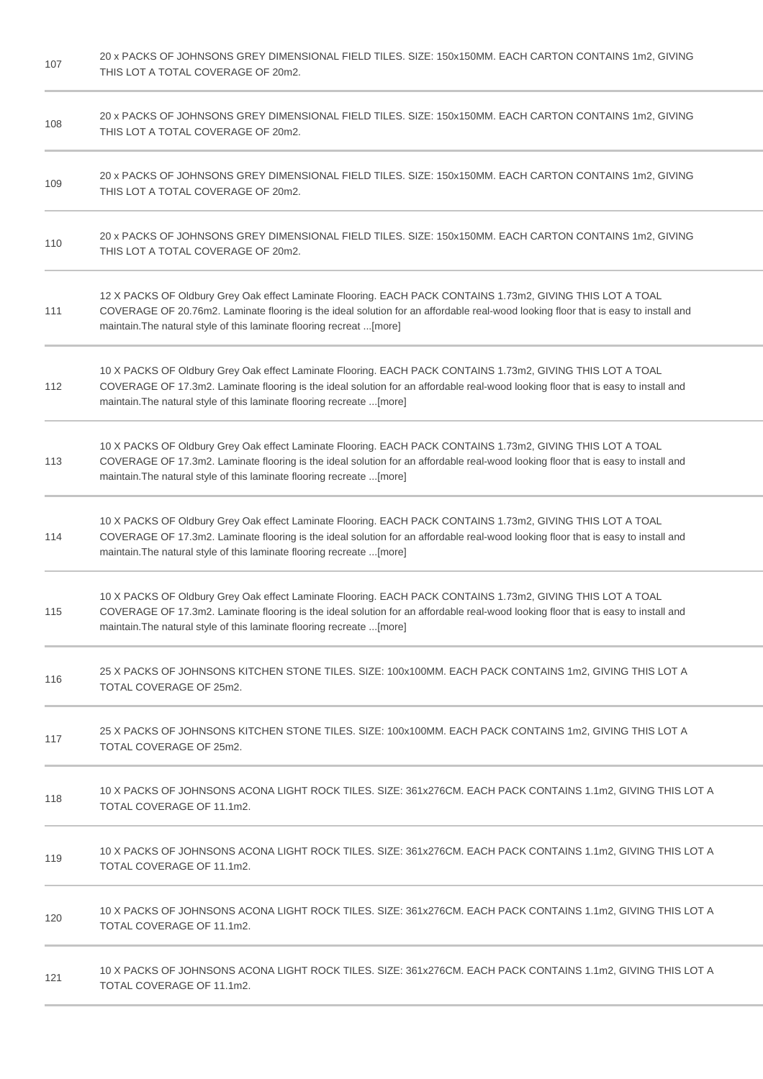| 107 | 20 x PACKS OF JOHNSONS GREY DIMENSIONAL FIELD TILES. SIZE: 150x150MM. EACH CARTON CONTAINS 1m2, GIVING<br>THIS LOT A TOTAL COVERAGE OF 20m2.                                                                                                                                                                              |
|-----|---------------------------------------------------------------------------------------------------------------------------------------------------------------------------------------------------------------------------------------------------------------------------------------------------------------------------|
| 108 | 20 x PACKS OF JOHNSONS GREY DIMENSIONAL FIELD TILES. SIZE: 150x150MM. EACH CARTON CONTAINS 1m2, GIVING<br>THIS LOT A TOTAL COVERAGE OF 20m2.                                                                                                                                                                              |
| 109 | 20 x PACKS OF JOHNSONS GREY DIMENSIONAL FIELD TILES. SIZE: 150x150MM. EACH CARTON CONTAINS 1m2, GIVING<br>THIS LOT A TOTAL COVERAGE OF 20m2.                                                                                                                                                                              |
| 110 | 20 x PACKS OF JOHNSONS GREY DIMENSIONAL FIELD TILES. SIZE: 150x150MM. EACH CARTON CONTAINS 1m2, GIVING<br>THIS LOT A TOTAL COVERAGE OF 20m2.                                                                                                                                                                              |
| 111 | 12 X PACKS OF Oldbury Grey Oak effect Laminate Flooring. EACH PACK CONTAINS 1.73m2, GIVING THIS LOT A TOAL<br>COVERAGE OF 20.76m2. Laminate flooring is the ideal solution for an affordable real-wood looking floor that is easy to install and<br>maintain. The natural style of this laminate flooring recreat  [more] |
| 112 | 10 X PACKS OF Oldbury Grey Oak effect Laminate Flooring. EACH PACK CONTAINS 1.73m2, GIVING THIS LOT A TOAL<br>COVERAGE OF 17.3m2. Laminate flooring is the ideal solution for an affordable real-wood looking floor that is easy to install and<br>maintain. The natural style of this laminate flooring recreate  [more] |
| 113 | 10 X PACKS OF Oldbury Grey Oak effect Laminate Flooring. EACH PACK CONTAINS 1.73m2, GIVING THIS LOT A TOAL<br>COVERAGE OF 17.3m2. Laminate flooring is the ideal solution for an affordable real-wood looking floor that is easy to install and<br>maintain. The natural style of this laminate flooring recreate  [more] |
| 114 | 10 X PACKS OF Oldbury Grey Oak effect Laminate Flooring. EACH PACK CONTAINS 1.73m2, GIVING THIS LOT A TOAL<br>COVERAGE OF 17.3m2. Laminate flooring is the ideal solution for an affordable real-wood looking floor that is easy to install and<br>maintain. The natural style of this laminate flooring recreate  [more] |
| 115 | 10 X PACKS OF Oldbury Grey Oak effect Laminate Flooring. EACH PACK CONTAINS 1.73m2, GIVING THIS LOT A TOAL<br>COVERAGE OF 17.3m2. Laminate flooring is the ideal solution for an affordable real-wood looking floor that is easy to install and<br>maintain. The natural style of this laminate flooring recreate  [more] |
| 116 | 25 X PACKS OF JOHNSONS KITCHEN STONE TILES. SIZE: 100x100MM. EACH PACK CONTAINS 1m2, GIVING THIS LOT A<br>TOTAL COVERAGE OF 25m2.                                                                                                                                                                                         |
| 117 | 25 X PACKS OF JOHNSONS KITCHEN STONE TILES. SIZE: 100x100MM. EACH PACK CONTAINS 1m2, GIVING THIS LOT A<br>TOTAL COVERAGE OF 25m2.                                                                                                                                                                                         |
| 118 | 10 X PACKS OF JOHNSONS ACONA LIGHT ROCK TILES. SIZE: 361x276CM. EACH PACK CONTAINS 1.1m2, GIVING THIS LOT A<br>TOTAL COVERAGE OF 11.1m2.                                                                                                                                                                                  |
| 119 | 10 X PACKS OF JOHNSONS ACONA LIGHT ROCK TILES. SIZE: 361x276CM. EACH PACK CONTAINS 1.1m2, GIVING THIS LOT A<br>TOTAL COVERAGE OF 11.1m2.                                                                                                                                                                                  |
| 120 | 10 X PACKS OF JOHNSONS ACONA LIGHT ROCK TILES. SIZE: 361x276CM. EACH PACK CONTAINS 1.1m2, GIVING THIS LOT A<br>TOTAL COVERAGE OF 11.1m2.                                                                                                                                                                                  |
| 121 | 10 X PACKS OF JOHNSONS ACONA LIGHT ROCK TILES. SIZE: 361x276CM. EACH PACK CONTAINS 1.1m2, GIVING THIS LOT A<br>TOTAL COVERAGE OF 11.1m2.                                                                                                                                                                                  |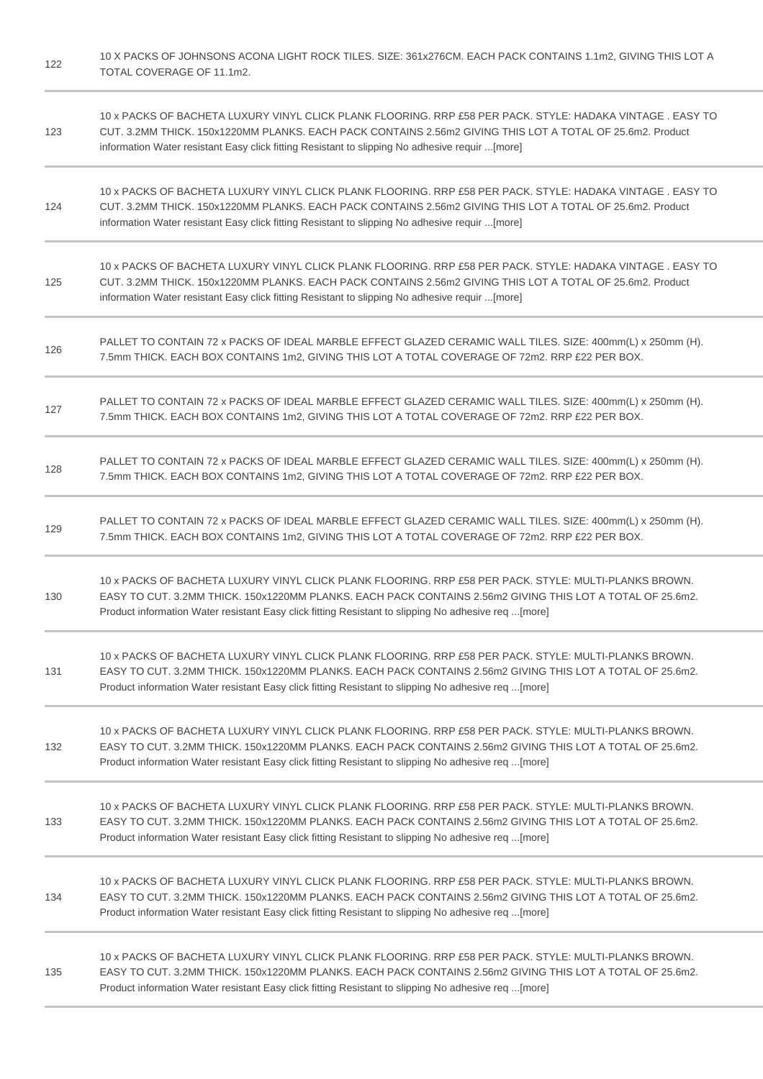| 122 | 10 X PACKS OF JOHNSONS ACONA LIGHT ROCK TILES. SIZE: 361x276CM. EACH PACK CONTAINS 1.1m2, GIVING THIS LOT A<br>TOTAL COVERAGE OF 11.1m2.                                                                                                                                                                                   |
|-----|----------------------------------------------------------------------------------------------------------------------------------------------------------------------------------------------------------------------------------------------------------------------------------------------------------------------------|
| 123 | 10 x PACKS OF BACHETA LUXURY VINYL CLICK PLANK FLOORING. RRP £58 PER PACK. STYLE: HADAKA VINTAGE . EASY TO<br>CUT. 3.2MM THICK. 150x1220MM PLANKS. EACH PACK CONTAINS 2.56m2 GIVING THIS LOT A TOTAL OF 25.6m2. Product<br>information Water resistant Easy click fitting Resistant to slipping No adhesive requir [more]  |
| 124 | 10 x PACKS OF BACHETA LUXURY VINYL CLICK PLANK FLOORING. RRP £58 PER PACK. STYLE: HADAKA VINTAGE. EASY TO<br>CUT. 3.2MM THICK. 150x1220MM PLANKS. EACH PACK CONTAINS 2.56m2 GIVING THIS LOT A TOTAL OF 25.6m2. Product<br>information Water resistant Easy click fitting Resistant to slipping No adhesive requir [more]   |
| 125 | 10 x PACKS OF BACHETA LUXURY VINYL CLICK PLANK FLOORING. RRP £58 PER PACK. STYLE: HADAKA VINTAGE . EASY TO<br>CUT. 3.2MM THICK. 150x1220MM PLANKS. EACH PACK CONTAINS 2.56m2 GIVING THIS LOT A TOTAL OF 25.6m2. Product<br>information Water resistant Easy click fitting Resistant to slipping No adhesive requir [more]  |
| 126 | PALLET TO CONTAIN 72 x PACKS OF IDEAL MARBLE EFFECT GLAZED CERAMIC WALL TILES. SIZE: 400mm(L) x 250mm (H).<br>7.5mm THICK. EACH BOX CONTAINS 1m2, GIVING THIS LOT A TOTAL COVERAGE OF 72m2. RRP £22 PER BOX.                                                                                                               |
| 127 | PALLET TO CONTAIN 72 x PACKS OF IDEAL MARBLE EFFECT GLAZED CERAMIC WALL TILES. SIZE: 400mm(L) x 250mm (H).<br>7.5mm THICK. EACH BOX CONTAINS 1m2, GIVING THIS LOT A TOTAL COVERAGE OF 72m2. RRP £22 PER BOX.                                                                                                               |
| 128 | PALLET TO CONTAIN 72 x PACKS OF IDEAL MARBLE EFFECT GLAZED CERAMIC WALL TILES. SIZE: 400mm(L) x 250mm (H).<br>7.5mm THICK. EACH BOX CONTAINS 1m2, GIVING THIS LOT A TOTAL COVERAGE OF 72m2. RRP £22 PER BOX.                                                                                                               |
| 129 | PALLET TO CONTAIN 72 x PACKS OF IDEAL MARBLE EFFECT GLAZED CERAMIC WALL TILES. SIZE: 400mm(L) x 250mm (H).<br>7.5mm THICK. EACH BOX CONTAINS 1m2, GIVING THIS LOT A TOTAL COVERAGE OF 72m2. RRP £22 PER BOX.                                                                                                               |
| 130 | 10 x PACKS OF BACHETA LUXURY VINYL CLICK PLANK FLOORING. RRP £58 PER PACK. STYLE: MULTI-PLANKS BROWN.<br>EASY TO CUT. 3.2MM THICK. 150x1220MM PLANKS. EACH PACK CONTAINS 2.56m2 GIVING THIS LOT A TOTAL OF 25.6m2.<br>Product information Water resistant Easy click fitting Resistant to slipping No adhesive req  [more] |
| 131 | 10 x PACKS OF BACHETA LUXURY VINYL CLICK PLANK FLOORING. RRP £58 PER PACK. STYLE: MULTI-PLANKS BROWN.<br>EASY TO CUT. 3.2MM THICK. 150x1220MM PLANKS. EACH PACK CONTAINS 2.56m2 GIVING THIS LOT A TOTAL OF 25.6m2.<br>Product information Water resistant Easy click fitting Resistant to slipping No adhesive req  [more] |
| 132 | 10 x PACKS OF BACHETA LUXURY VINYL CLICK PLANK FLOORING. RRP £58 PER PACK. STYLE: MULTI-PLANKS BROWN.<br>EASY TO CUT. 3.2MM THICK. 150x1220MM PLANKS. EACH PACK CONTAINS 2.56m2 GIVING THIS LOT A TOTAL OF 25.6m2.<br>Product information Water resistant Easy click fitting Resistant to slipping No adhesive req [more]  |
| 133 | 10 x PACKS OF BACHETA LUXURY VINYL CLICK PLANK FLOORING. RRP £58 PER PACK. STYLE: MULTI-PLANKS BROWN.<br>EASY TO CUT. 3.2MM THICK. 150x1220MM PLANKS. EACH PACK CONTAINS 2.56m2 GIVING THIS LOT A TOTAL OF 25.6m2.<br>Product information Water resistant Easy click fitting Resistant to slipping No adhesive req [more]  |
| 134 | 10 x PACKS OF BACHETA LUXURY VINYL CLICK PLANK FLOORING. RRP £58 PER PACK. STYLE: MULTI-PLANKS BROWN.<br>EASY TO CUT. 3.2MM THICK. 150x1220MM PLANKS. EACH PACK CONTAINS 2.56m2 GIVING THIS LOT A TOTAL OF 25.6m2.<br>Product information Water resistant Easy click fitting Resistant to slipping No adhesive req [more]  |
| 135 | 10 x PACKS OF BACHETA LUXURY VINYL CLICK PLANK FLOORING. RRP £58 PER PACK. STYLE: MULTI-PLANKS BROWN.<br>EASY TO CUT. 3.2MM THICK. 150x1220MM PLANKS. EACH PACK CONTAINS 2.56m2 GIVING THIS LOT A TOTAL OF 25.6m2.<br>Product information Water resistant Easy click fitting Resistant to slipping No adhesive req [more]  |